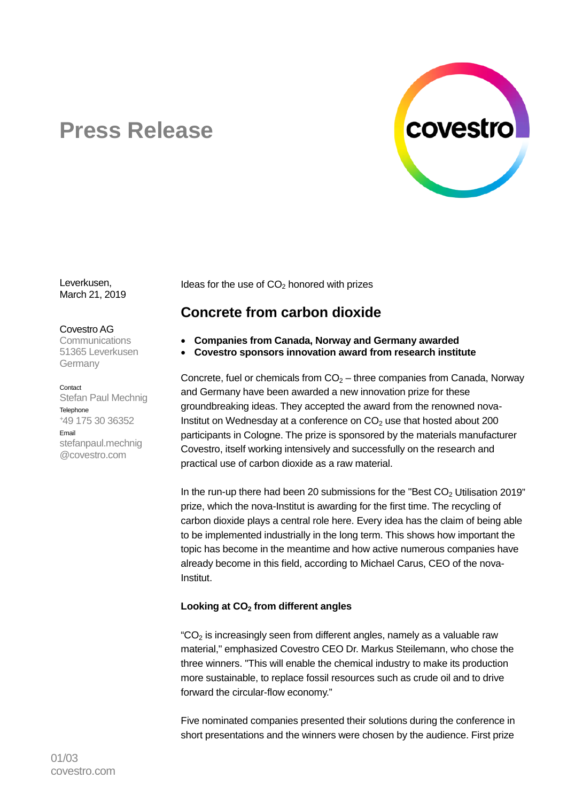

# **Press Release**

Leverkusen, March 21, 2019

Covestro AG

Communications 51365 Leverkusen Germany

**Contact** 

Stefan Paul Mechnig **Telephone** +49 175 30 36352 Email stefanpaul.mechnig @covestro.com

Ideas for the use of  $CO<sub>2</sub>$  honored with prizes

## **Concrete from carbon dioxide**

- **Companies from Canada, Norway and Germany awarded**
- **Covestro sponsors innovation award from research institute**

Concrete, fuel or chemicals from  $CO<sub>2</sub>$  – three companies from Canada, Norway and Germany have been awarded a new innovation prize for these groundbreaking ideas. They accepted the award from the renowned nova-Institut on Wednesday at a conference on  $CO<sub>2</sub>$  use that hosted about 200 participants in Cologne. The prize is sponsored by the materials manufacturer Covestro, itself working intensively and successfully on the research and practical use of carbon dioxide as a raw material.

In the run-up there had been 20 submissions for the "Best  $CO<sub>2</sub>$  Utilisation 2019" prize, which the nova-Institut is awarding for the first time. The recycling of carbon dioxide plays a central role here. Every idea has the claim of being able to be implemented industrially in the long term. This shows how important the topic has become in the meantime and how active numerous companies have already become in this field, according to Michael Carus, CEO of the nova-Institut.

### Looking at CO<sub>2</sub> from different angles

" $CO<sub>2</sub>$  is increasingly seen from different angles, namely as a valuable raw material," emphasized Covestro CEO Dr. Markus Steilemann, who chose the three winners. "This will enable the chemical industry to make its production more sustainable, to replace fossil resources such as crude oil and to drive forward the circular-flow economy."

Five nominated companies presented their solutions during the conference in short presentations and the winners were chosen by the audience. First prize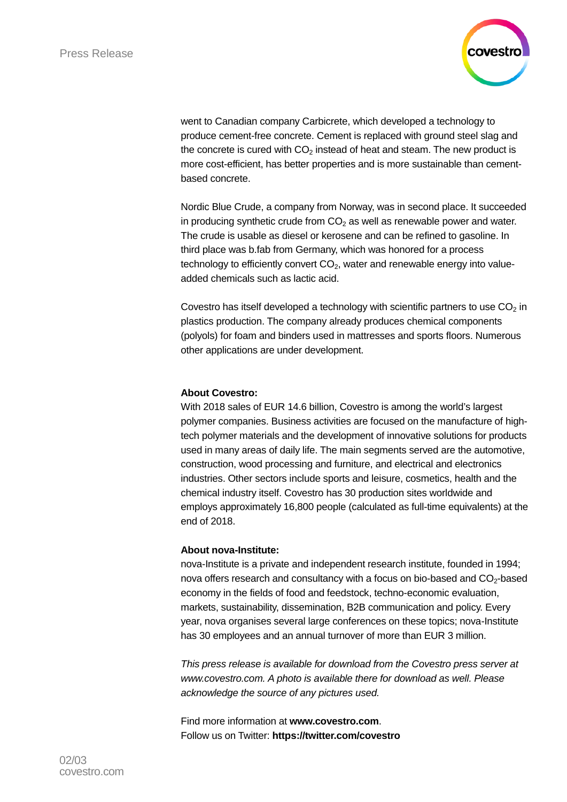

went to Canadian company Carbicrete, which developed a technology to produce cement-free concrete. Cement is replaced with ground steel slag and the concrete is cured with  $CO<sub>2</sub>$  instead of heat and steam. The new product is more cost-efficient, has better properties and is more sustainable than cementbased concrete.

Nordic Blue Crude, a company from Norway, was in second place. It succeeded in producing synthetic crude from  $CO<sub>2</sub>$  as well as renewable power and water. The crude is usable as diesel or kerosene and can be refined to gasoline. In third place was b.fab from Germany, which was honored for a process technology to efficiently convert  $CO<sub>2</sub>$ , water and renewable energy into valueadded chemicals such as lactic acid.

Covestro has itself developed a technology with scientific partners to use  $CO<sub>2</sub>$  in plastics production. The company already produces chemical components (polyols) for foam and binders used in mattresses and sports floors. Numerous other applications are under development.

#### **About Covestro:**

With 2018 sales of EUR 14.6 billion, Covestro is among the world's largest polymer companies. Business activities are focused on the manufacture of hightech polymer materials and the development of innovative solutions for products used in many areas of daily life. The main segments served are the automotive, construction, wood processing and furniture, and electrical and electronics industries. Other sectors include sports and leisure, cosmetics, health and the chemical industry itself. Covestro has 30 production sites worldwide and employs approximately 16,800 people (calculated as full-time equivalents) at the end of 2018.

#### **About nova-Institute:**

nova-Institute is a private and independent research institute, founded in 1994; nova offers research and consultancy with a focus on bio-based and  $CO<sub>2</sub>$ -based economy in the fields of food and feedstock, techno-economic evaluation, markets, sustainability, dissemination, B2B communication and policy. Every year, nova organises several large conferences on these topics; nova-Institute has 30 employees and an annual turnover of more than EUR 3 million.

*This press release is available for download from the Covestro press server at [www.covestro.com.](http://www.covestro.com/) A photo is available there for download as well. Please acknowledge the source of any pictures used.*

Find more information at **[www.covestro.com](http://www.covestro.com/)**. Follow us on Twitter: **[https://twitter.com/covestro](http://www.twitter.com/covestro)**